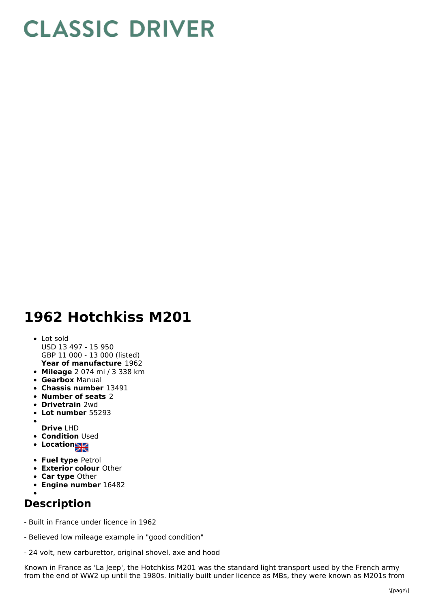## **CLASSIC DRIVER**

## **1962 Hotchkiss M201**

## **Year of manufacture** 1962 Lot sold USD 13 497 - 15 950 GBP 11 000 - 13 000 (listed)

- **Mileage** 2 074 mi / 3 338 km
- **Gearbox** Manual
- **Chassis number** 13491
- **Number of seats** 2
- **Drivetrain** 2wd
- **Lot number** 55293
- **Drive** LHD
- **Condition Used**
- **Location**
- **Fuel type** Petrol
- **Exterior colour** Other
- **Car type** Other
- **Engine number** 16482

## **Description**

- Built in France under licence in 1962
- Believed low mileage example in "good condition"
- 24 volt, new carburettor, original shovel, axe and hood

Known in France as 'La Jeep', the Hotchkiss M201 was the standard light transport used by the French army from the end of WW2 up until the 1980s. Initially built under licence as MBs, they were known as M201s from